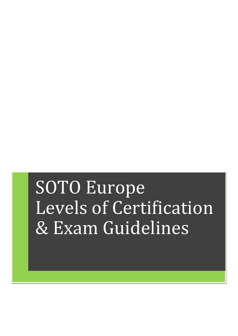# SOTO Europe Levels of Certification & Exam Guidelines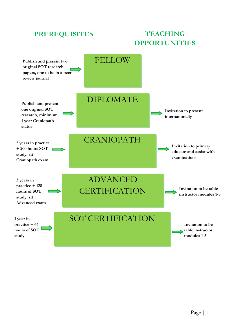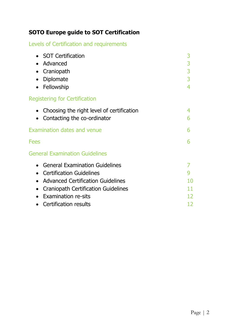# **SOTO Europe guide to SOT Certification**

# Levels of Certification and requirements

| 3      |
|--------|
| 3<br>3 |
| 3      |
|        |
|        |
| 4      |
| 6      |
| 6      |
| 6      |
|        |
|        |
|        |
| 10     |
| 11     |
| 12     |
| 12     |
|        |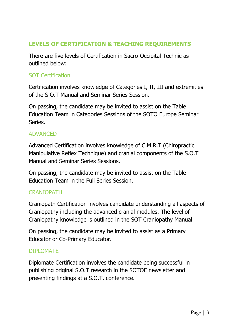# **LEVELS OF CERTIFICATION & TEACHING REQUIREMENTS**

There are five levels of Certification in Sacro-Occipital Technic as outlined below:

## SOT Certification

Certification involves knowledge of Categories I, II, III and extremities of the S.O.T Manual and Seminar Series Session.

On passing, the candidate may be invited to assist on the Table Education Team in Categories Sessions of the SOTO Europe Seminar Series.

#### **ADVANCED**

Advanced Certification involves knowledge of C.M.R.T (Chiropractic Manipulative Reflex Technique) and cranial components of the S.O.T Manual and Seminar Series Sessions.

On passing, the candidate may be invited to assist on the Table Education Team in the Full Series Session.

#### CRANIOPATH

Craniopath Certification involves candidate understanding all aspects of Craniopathy including the advanced cranial modules. The level of Craniopathy knowledge is outlined in the SOT Craniopathy Manual.

On passing, the candidate may be invited to assist as a Primary Educator or Co-Primary Educator.

#### DIPLOMATE

Diplomate Certification involves the candidate being successful in publishing original S.O.T research in the SOTOE newsletter and presenting findings at a S.O.T. conference.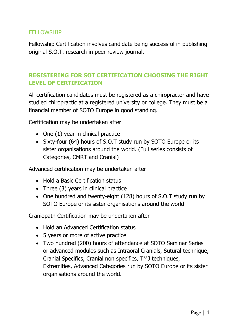## **FELLOWSHIP**

Fellowship Certification involves candidate being successful in publishing original S.O.T. research in peer review journal.

# **REGISTERING FOR SOT CERTIFICATION CHOOSING THE RIGHT LEVEL OF CERTIFICATION**

All certification candidates must be registered as a chiropractor and have studied chiropractic at a registered university or college. They must be a financial member of SOTO Europe in good standing.

Certification may be undertaken after

- One (1) year in clinical practice
- Sixty-four (64) hours of S.O.T study run by SOTO Europe or its sister organisations around the world. (Full series consists of Categories, CMRT and Cranial)

Advanced certification may be undertaken after

- Hold a Basic Certification status
- Three (3) years in clinical practice
- One hundred and twenty-eight (128) hours of S.O.T study run by SOTO Europe or its sister organisations around the world.

Craniopath Certification may be undertaken after

- Hold an Advanced Certification status
- 5 years or more of active practice
- Two hundred (200) hours of attendance at SOTO Seminar Series or advanced modules such as Intraoral Cranials, Sutural technique, Cranial Specifics, Cranial non specifics, TMJ techniques, Extremities, Advanced Categories run by SOTO Europe or its sister organisations around the world.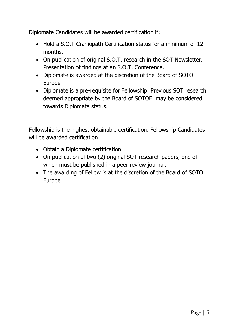Diplomate Candidates will be awarded certification if;

- Hold a S.O.T Craniopath Certification status for a minimum of 12 months.
- On publication of original S.O.T. research in the SOT Newsletter. Presentation of findings at an S.O.T. Conference.
- Diplomate is awarded at the discretion of the Board of SOTO Europe
- Diplomate is a pre-requisite for Fellowship. Previous SOT research deemed appropriate by the Board of SOTOE. may be considered towards Diplomate status.

Fellowship is the highest obtainable certification. Fellowship Candidates will be awarded certification

- Obtain a Diplomate certification.
- On publication of two (2) original SOT research papers, one of which must be published in a peer review journal.
- The awarding of Fellow is at the discretion of the Board of SOTO Europe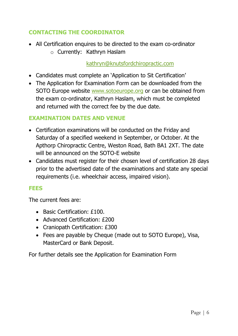# **CONTACTING THE COORDINATOR**

- All Certification enquires to be directed to the exam co-ordinator
	- o Currently: Kathryn Haslam

#### [kathryn@knutsfordchiropractic.com](mailto:kathryn@knutsfordchiropractic.com)

- Candidates must complete an 'Application to Sit Certification'
- The Application for Examination Form can be downloaded from the SOTO Europe website [www.sotoeurope.org](http://www.sotoeurope.org/) or can be obtained from the exam co-ordinator, Kathryn Haslam, which must be completed and returned with the correct fee by the due date.

#### **EXAMINATION DATES AND VENUE**

- Certification examinations will be conducted on the Friday and Saturday of a specified weekend in September, or October. At the Apthorp Chiropractic Centre, Weston Road, Bath BA1 2XT. The date will be announced on the SOTO-E website
- Candidates must register for their chosen level of certification 28 days prior to the advertised date of the examinations and state any special requirements (i.e. wheelchair access, impaired vision).

#### **FEES**

The current fees are:

- Basic Certification: £100.
- Advanced Certification: £200
- Craniopath Certification: £300
- Fees are payable by Cheque (made out to SOTO Europe), Visa, MasterCard or Bank Deposit.

For further details see the Application for Examination Form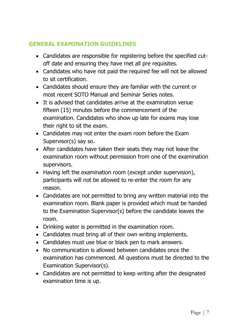# **GENERAL EXAMINATION GUIDELINES**

- Candidates are responsible for registering before the specified cutoff date and ensuring they have met all pre requisites.
- Candidates who have not paid the required fee will not be allowed to sit certification.
- Candidates should ensure they are familiar with the current or most recent SOTO Manual and Seminar Series notes.
- It is advised that candidates arrive at the examination venue fifteen (15) minutes before the commencement of the examination. Candidates who show up late for exams may lose their right to sit the exam.
- Candidates may not enter the exam room before the Exam Supervisor(s) say so.
- After candidates have taken their seats they may not leave the examination room without permission from one of the examination supervisors.
- Having left the examination room (except under supervision), participants will not be allowed to re-enter the room for any reason.
- Candidates are not permitted to bring any written material into the examination room. Blank paper is provided which must be handed to the Examination Supervisor(s) before the candidate leaves the room.
- Drinking water is permitted in the examination room.
- Candidates must bring all of their own writing implements.
- Candidates must use blue or black pen to mark answers.
- No communication is allowed between candidates once the examination has commenced. All questions must be directed to the Examination Supervisor(s).
- Candidates are not permitted to keep writing after the designated examination time is up.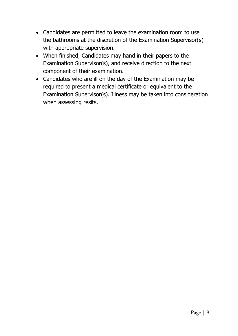- Candidates are permitted to leave the examination room to use the bathrooms at the discretion of the Examination Supervisor(s) with appropriate supervision.
- When finished, Candidates may hand in their papers to the Examination Supervisor(s), and receive direction to the next component of their examination.
- Candidates who are ill on the day of the Examination may be required to present a medical certificate or equivalent to the Examination Supervisor(s). Illness may be taken into consideration when assessing resits.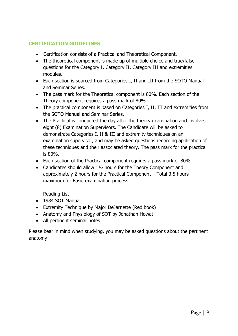#### **CERTIFICATION GUIDELINES**

- Certification consists of a Practical and Theoretical Component.
- The theoretical component is made up of multiple choice and true/false questions for the Category I, Category II, Category III and extremities modules.
- Each section is sourced from Categories I, II and III from the SOTO Manual and Seminar Series.
- The pass mark for the Theoretical component is 80%. Each section of the Theory component requires a pass mark of 80%.
- The practical component is based on Categories I, II, III and extremities from the SOTO Manual and Seminar Series.
- The Practical is conducted the day after the theory examination and involves eight (8) Examination Supervisors. The Candidate will be asked to demonstrate Categories I, II & III and extremity techniques on an examination supervisor, and may be asked questions regarding application of these techniques and their associated theory. The pass mark for the practical is 80%.
- Each section of the Practical component requires a pass mark of 80%.
- Candidates should allow 11/2 hours for the Theory Component and approximately 2 hours for the Practical Component – Total 3.5 hours maximum for Basic examination process.

Reading List

- 1984 SOT Manual
- Extremity Technique by Major DeJarnette (Red book)
- Anatomy and Physiology of SOT by Jonathan Howat
- All pertinent seminar notes

Please bear in mind when studying, you may be asked questions about the pertinent anatomy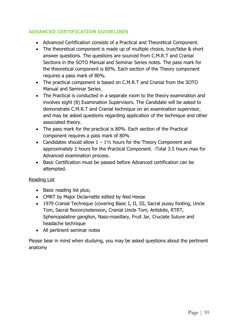#### **ADVANCED CERTIFICATION GUIDELINES**

- Advanced Certification consists of a Practical and Theoretical Component.
- The theoretical component is made up of multiple choice, true/false & short answer questions. The questions are sourced from C.M.R.T and Cranial Sections in the SOTO Manual and Seminar Series notes. The pass mark for the theoretical component is 80%. Each section of the Theory component requires a pass mark of 80%.
- The practical component is based on C.M.R.T and Cranial from the SOTO Manual and Seminar Series.
- The Practical is conducted in a separate room to the theory examination and involves eight (8) Examination Supervisors. The Candidate will be asked to demonstrate C.M.R.T and Cranial technique on an examination supervisor, and may be asked questions regarding application of the technique and other associated theory.
- The pass mark for the practical is 80%. Each section of the Practical component requires a pass mark of 80%
- Candidates should allow  $1 1\frac{1}{2}$  hours for the Theory Component and approximately 2 hours for the Practical Component. -Total 3.5 hours max for Advanced examination process.
- Basic Certification must be passed before Advanced certification can be attempted.

#### Reading List

- Basic reading list plus;
- CMRT by Major DeJarnette edited by Ned Heese
- 1979 Cranial Technique (covering Basic I, II, III, Sacral pussy footing, Uncle Tom, Sacral flexion/extension, Cranial Uncle Tom, Antidote, RTRT, Sphenopalatine ganglion, Naso-maxillary, Fruit Jar, Cruciate Suture and headache technique
- All pertinent seminar notes

Please bear in mind when studying, you may be asked questions about the pertinent anatomy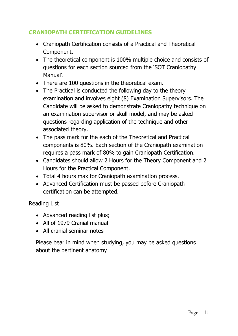# **CRANIOPATH CERTIFICATION GUIDELINES**

- Craniopath Certification consists of a Practical and Theoretical Component.
- The theoretical component is 100% multiple choice and consists of questions for each section sourced from the 'SOT Craniopathy Manual'.
- There are 100 questions in the theoretical exam.
- The Practical is conducted the following day to the theory examination and involves eight (8) Examination Supervisors. The Candidate will be asked to demonstrate Craniopathy technique on an examination supervisor or skull model, and may be asked questions regarding application of the technique and other associated theory.
- The pass mark for the each of the Theoretical and Practical components is 80%. Each section of the Craniopath examination requires a pass mark of 80% to gain Craniopath Certification.
- Candidates should allow 2 Hours for the Theory Component and 2 Hours for the Practical Component.
- Total 4 hours max for Craniopath examination process.
- Advanced Certification must be passed before Craniopath certification can be attempted.

#### Reading List

- Advanced reading list plus;
- All of 1979 Cranial manual
- All cranial seminar notes

Please bear in mind when studying, you may be asked questions about the pertinent anatomy